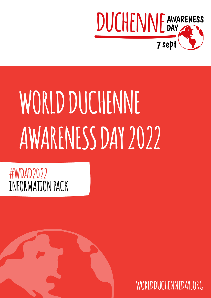

# WORLD DUCHENNE **AWARENESS DAY 2022**

## **INFORMATION PACK #WDAD2022**

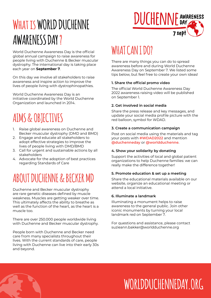# WHAT IS WORLD DUCHENNE **AWARENESS DAY ?**

World Duchenne Awareness Day is the official global annual campaign to raise awareness for people living with Duchenne & Becker muscular dystrophy. The international day is taking place each year on **September 7**.

On this day we involve all stakeholders to raise awareness and inspire action to improve the lives of people living with dystrophinopathies.

World Duchenne Awareness Day is an initiative coordinated by the World Duchenne Organization and launched in 2014.

# **AIMS & OBJECTIVES**

- 1. Raise global awareness on Duchenne and Becker muscular dystrophy (DMD and BMD)
- 2. Engage and educate all stakeholders to adopt effective strategies to improve the lives of people living with DMD/BMD
- 3. Call for urgent and sustainable actions by all stakeholders
- 4. Advocate for the adoption of best practices regarding Standards of Care

### **ABOUT DUCHENNE & BECKER MD**

Duchenne and Becker muscular dystrophy are rare genetic diseases defined by muscle weakness. Muscles are getting weaker over time. This ultimately affects the ability to breathe as well as the function of the heart, as the heart is a muscle too.

There are over 250.000 people worldwide living with Duchenne and Becker muscular dystrophy.

People born with Duchenne and Becker need care from many specialists throughout their lives. With the current standards of care, people living with Duchenne can live into their early 30s and beyond.



### **WHAT CAN I DO?**

There are many things you can do to spread awareness before and during World Duchenne Awareness Day on September 7. We listed some tips below, but feel free to create your own ideas!

#### **1. Share the official promo video**

The official World Duchenne Awareness Day 2022 awareness raising video will be published on September 1.

#### **2. Get involved in social media**

Share the press release and key messages, and update your social media profile picture with the red balloon, symbol for WDAD.

#### **3. Create a communication campaign**

Post on social media using the materials and tag your posts with **#WDAD2022** and mention **[@duchenneday](https://twitter.com/DuchenneDay)** or **[@worldduchenne](https://www.instagram.com/worldduchenne/)**.

#### **4. Show your solidarity by donating**

Support the activities of local and global patient organizations to help Duchenne families: we can really make the difference together!

#### **5. Promote education & set up a meeting**

Share the educational materials available on our website, organize an educational meeting or attend a local initiative.

#### **6. Illuminate a landmark**

Illuminating a monument helps to raise awareness to the general public. Join other iconic monuments by turning your local landmark red on September 7.

For questions and assistance, please contact suzieann.bakker@worldduchenne.org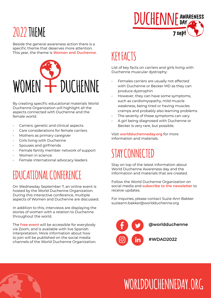# **2022 THEME**

Beside the general awareness action there is a specific theme that deserves more attention. This year, the theme is **Women and Duchenne**.



By creating specific educational materials World Duchenne Organization will highlight all the aspects connected with Duchenne and the female world:

- Carriers: genetic and clinical aspects
- Care considerations for female carriers
- Mothers as primary caregiver
- Girls living with Duchenne
- Spouses and girlfriends
- Female family member network of support
- Women in science
- Female international advocacy leaders

### **EDUCATIONAL CONFERENCE**

On Wednesday September 7, an online event is hosted by the World Duchenne Organization. During this interactive conference, multiple aspects of Women and Duchenne are discussed.

In addition to this, interviews are displaying the stories of women with a relation to Duchenne throughout the world.

The **[free event](https://www.worldduchenneday.org/2022-women-and-duchenne/)** will be accessible for everybody via Zoom, and is available with live Spanish interpretation. More information about how to join will be published on the social media channels of the World Duchenne Organization.

# **KEY FACTS**

List of key facts on carriers and girls living with Duchenne muscular dystrophy:

**DUCHENNE AWARENESS** 

 $7$  sep $\dagger$ 

- Females carriers are usually not affected with Duchenne or Becker MD as they can produce dystrophin
- However, they can have some symptoms, such as cardiomyopathy, mild muscle weakness, being tired or having muscles cramps and probably also learning problems
- The severity of these symptoms can vary.
- A girl being diagnosed with Duchenne or Becker is very rare, but possible.

Visit **[worldduchenneday.org](https://www.worldduchenneday.org/)** for more information and materials.

## **STAY CONNECTED**

Stay on top of the latest information about World Duchenne Awareness day and the information and materials that are created.

Follow the World Duchenne Organization on social media and **[subscribe to the newsletter](http://eepurl.com/h3dBgr)** to receive updates.

For inquiries, please contact Suzie-Ann Bakker suzieann.bakker@worldduchenne.org

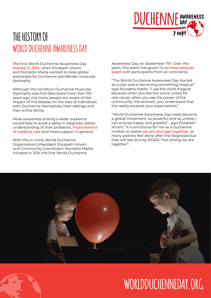

### **THE HISTORY OF WORLD DUCHENNE AWARENESS DAY**

The first World Duchenne Awareness Day **[started in 2014](https://www.worldduchenneday.org/faces-of-duchenne/)**, when Elizabeth Vroom and Nicoletta Madia wanted to raise global awareness for Duchenne and Becker muscular dystrophy.

Although the condition Duchenne Muscular Dystrophy was first described more than 150 years ago, not many people are aware of the impact of this disease on the lives of individuals with Duchenne themselves, their siblings and their entire family.

More awareness among a wider audience would help to avoid a delay in diagnosis, better understanding of their problems, **[improvement](https://www.worldduchenne.org/standards-of-care/)  [of medical care](https://www.worldduchenne.org/standards-of-care/)** and more support in general.

With this in mind, World Duchenne Organization's President Elizabeth Vroom and Community Coordinator Nicoletta Madia, initiated in 2014 the first World Duchenne

Awareness Day on September 7th. Over the years, this event has grown to an **[international](https://www.worldduchenneday.org/world-duchenne-awareness-day-highlights-a-year-round-effort-to-improve-adult-life-in-duchenne/)  [event](https://www.worldduchenneday.org/world-duchenne-awareness-day-highlights-a-year-round-effort-to-improve-adult-life-in-duchenne/)** with participants from all continents.

"The World Duchenne Awareness Day started as a plan and is becoming something magical" says Nicoletta Madia. "I use the word magical because when you see the world united for one cause, when you see the power of the community, the activism, you understand that the reality exceeds your expectations".

"World Duchenne Awareness Day really became a global movement, so powerful and so united, I can only be happy and grateful" , says Elizabeth Vroom. "It is emotional for me as a Duchenne mother to realize **[we are stronger together](https://youtu.be/JCCZUMcKgiY)**, so many parents feel alone after the diagnoses but they will see during WDAD, how strong we are together".